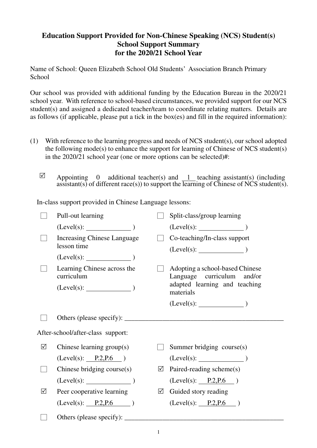## **Education Support Provided for Non-Chinese Speaking (NCS) Student(s) School Support Summary for the 2020/21 School Year**

Name of School: Queen Elizabeth School Old Students' Association Branch Primary School

Our school was provided with additional funding by the Education Bureau in the 2020/21 school year. With reference to school-based circumstances, we provided support for our NCS student(s) and assigned a dedicated teacher/team to coordinate relating matters. Details are as follows (if applicable, please put a tick in the box(es) and fill in the required information):

- (1) With reference to the learning progress and needs of NCS student(s), our school adopted the following mode(s) to enhance the support for learning of Chinese of NCS student(s) in the 2020/21 school year (one or more options can be selected)#:
	- $\boxtimes$  Appointing 0 additional teacher(s) and 1 teaching assistant(s) (including assistant(s) of different race(s)) to support the learning of Chinese of NCS student(s).

In-class support provided in Chinese Language lessons:

|                                   | Pull-out learning                                             |   | Split-class/group learning                                                                                  |  |
|-----------------------------------|---------------------------------------------------------------|---|-------------------------------------------------------------------------------------------------------------|--|
|                                   | $(Level(s):$ $)$                                              |   | $(Level(s):$ $)$                                                                                            |  |
|                                   | <b>Increasing Chinese Language</b><br>lesson time             |   | Co-teaching/In-class support                                                                                |  |
|                                   | $(Level(s):$ $)$                                              |   |                                                                                                             |  |
|                                   | Learning Chinese across the<br>curriculum<br>$(Level(s):$ $)$ |   | Adopting a school-based Chinese<br>Language curriculum and/or<br>adapted learning and teaching<br>materials |  |
|                                   |                                                               |   | $(Level(s):$ $)$                                                                                            |  |
|                                   |                                                               |   |                                                                                                             |  |
| After-school/after-class support: |                                                               |   |                                                                                                             |  |
| ☑                                 | Chinese learning $group(s)$                                   |   | Summer bridging course(s)                                                                                   |  |
|                                   | (Level(s): P.2, P.6)                                          |   | $(Level(s):$ $)$                                                                                            |  |
|                                   | Chinese bridging course(s)                                    | ☑ | Paired-reading scheme(s)                                                                                    |  |
|                                   | $(Level(s):$ (Level(s):                                       |   | (Level(s): P.2, P.6)                                                                                        |  |
| ☑                                 | Peer cooperative learning                                     | ☑ | Guided story reading                                                                                        |  |
|                                   | (Level(s): P.2, P.6)                                          |   | (Level(s): P.2, P.6)                                                                                        |  |
|                                   |                                                               |   |                                                                                                             |  |